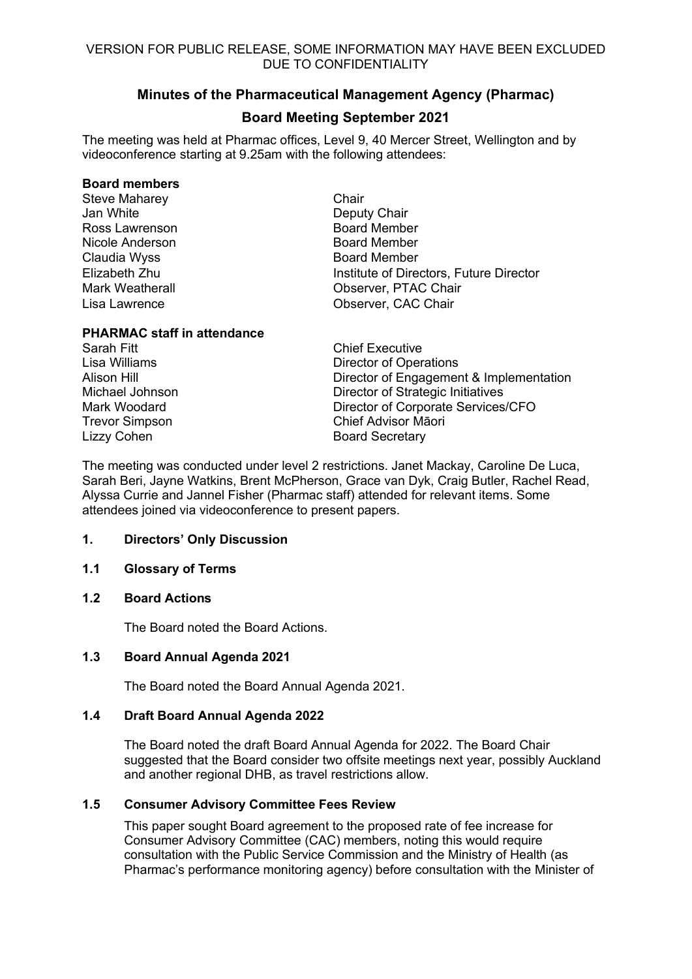# **Minutes of the Pharmaceutical Management Agency (Pharmac)**

# **Board Meeting September 2021**

The meeting was held at Pharmac offices, Level 9, 40 Mercer Street, Wellington and by videoconference starting at 9.25am with the following attendees:

#### **Board members**

Steve Maharey **Chair** Jan White **Deputy Chair** Ross Lawrenson **Board Member** Nicole Anderson **Board Member** Claudia Wyss **Board Member** 

Elizabeth Zhu Institute of Directors, Future Director Mark Weatherall Observer, PTAC Chair Lisa Lawrence Observer, CAC Chair

## **PHARMAC staff in attendance**

Lizzy Cohen **Board Secretary** 

Sarah Fitt **Chief Executive** Lisa Williams<br>
Alison Hill **Director of Operations**<br>
Director of Fngagement Director of Engagement & Implementation Michael Johnson Director of Strategic Initiatives Mark Woodard Director of Corporate Services/CFO Trevor Simpson Chief Advisor Māori

The meeting was conducted under level 2 restrictions. Janet Mackay, Caroline De Luca, Sarah Beri, Jayne Watkins, Brent McPherson, Grace van Dyk, Craig Butler, Rachel Read, Alyssa Currie and Jannel Fisher (Pharmac staff) attended for relevant items. Some attendees joined via videoconference to present papers.

## **1. Directors' Only Discussion**

# **1.1 Glossary of Terms**

# **1.2 Board Actions**

The Board noted the Board Actions.

# **1.3 Board Annual Agenda 2021**

The Board noted the Board Annual Agenda 2021.

## **1.4 Draft Board Annual Agenda 2022**

The Board noted the draft Board Annual Agenda for 2022. The Board Chair suggested that the Board consider two offsite meetings next year, possibly Auckland and another regional DHB, as travel restrictions allow.

# **1.5 Consumer Advisory Committee Fees Review**

This paper sought Board agreement to the proposed rate of fee increase for Consumer Advisory Committee (CAC) members, noting this would require consultation with the Public Service Commission and the Ministry of Health (as Pharmac's performance monitoring agency) before consultation with the Minister of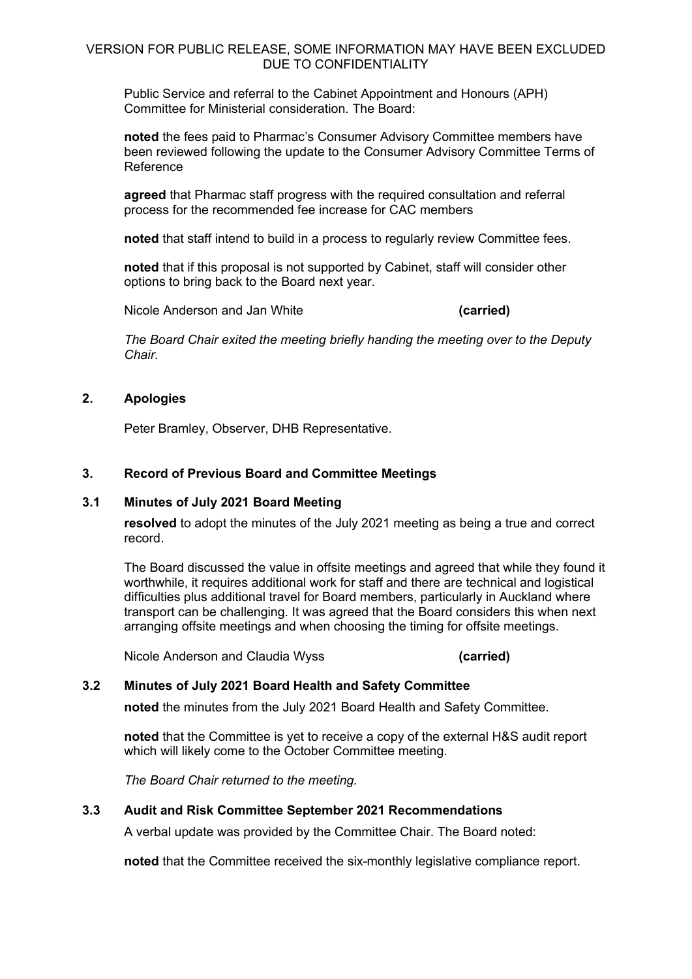Public Service and referral to the Cabinet Appointment and Honours (APH) Committee for Ministerial consideration. The Board:

**noted** the fees paid to Pharmac's Consumer Advisory Committee members have been reviewed following the update to the Consumer Advisory Committee Terms of Reference

**agreed** that Pharmac staff progress with the required consultation and referral process for the recommended fee increase for CAC members

**noted** that staff intend to build in a process to regularly review Committee fees.

**noted** that if this proposal is not supported by Cabinet, staff will consider other options to bring back to the Board next year.

Nicole Anderson and Jan White **(carried)**

*The Board Chair exited the meeting briefly handing the meeting over to the Deputy Chair.* 

## **2. Apologies**

Peter Bramley, Observer, DHB Representative.

## **3. Record of Previous Board and Committee Meetings**

#### **3.1 Minutes of July 2021 Board Meeting**

**resolved** to adopt the minutes of the July 2021 meeting as being a true and correct record.

The Board discussed the value in offsite meetings and agreed that while they found it worthwhile, it requires additional work for staff and there are technical and logistical difficulties plus additional travel for Board members, particularly in Auckland where transport can be challenging. It was agreed that the Board considers this when next arranging offsite meetings and when choosing the timing for offsite meetings.

Nicole Anderson and Claudia Wyss **(carried)**

## **3.2 Minutes of July 2021 Board Health and Safety Committee**

**noted** the minutes from the July 2021 Board Health and Safety Committee.

**noted** that the Committee is yet to receive a copy of the external H&S audit report which will likely come to the October Committee meeting.

*The Board Chair returned to the meeting.* 

# **3.3 Audit and Risk Committee September 2021 Recommendations**

A verbal update was provided by the Committee Chair. The Board noted:

**noted** that the Committee received the six-monthly legislative compliance report.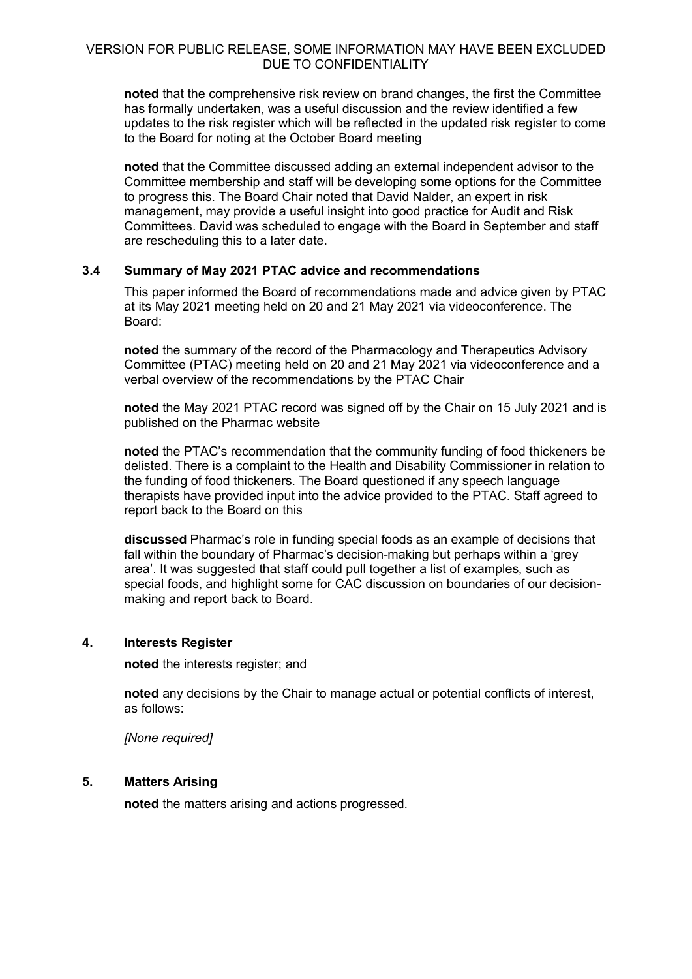**noted** that the comprehensive risk review on brand changes, the first the Committee has formally undertaken, was a useful discussion and the review identified a few updates to the risk register which will be reflected in the updated risk register to come to the Board for noting at the October Board meeting

**noted** that the Committee discussed adding an external independent advisor to the Committee membership and staff will be developing some options for the Committee to progress this. The Board Chair noted that David Nalder, an expert in risk management, may provide a useful insight into good practice for Audit and Risk Committees. David was scheduled to engage with the Board in September and staff are rescheduling this to a later date.

#### **3.4 Summary of May 2021 PTAC advice and recommendations**

This paper informed the Board of recommendations made and advice given by PTAC at its May 2021 meeting held on 20 and 21 May 2021 via videoconference. The Board:

**noted** the summary of the record of the Pharmacology and Therapeutics Advisory Committee (PTAC) meeting held on 20 and 21 May 2021 via videoconference and a verbal overview of the recommendations by the PTAC Chair

**noted** the May 2021 PTAC record was signed off by the Chair on 15 July 2021 and is published on the Pharmac website

**noted** the PTAC's recommendation that the community funding of food thickeners be delisted. There is a complaint to the Health and Disability Commissioner in relation to the funding of food thickeners. The Board questioned if any speech language therapists have provided input into the advice provided to the PTAC. Staff agreed to report back to the Board on this

**discussed** Pharmac's role in funding special foods as an example of decisions that fall within the boundary of Pharmac's decision-making but perhaps within a 'grey area'. It was suggested that staff could pull together a list of examples, such as special foods, and highlight some for CAC discussion on boundaries of our decisionmaking and report back to Board.

#### **4. Interests Register**

**noted** the interests register; and

**noted** any decisions by the Chair to manage actual or potential conflicts of interest, as follows:

*[None required]*

# **5. Matters Arising**

**noted** the matters arising and actions progressed.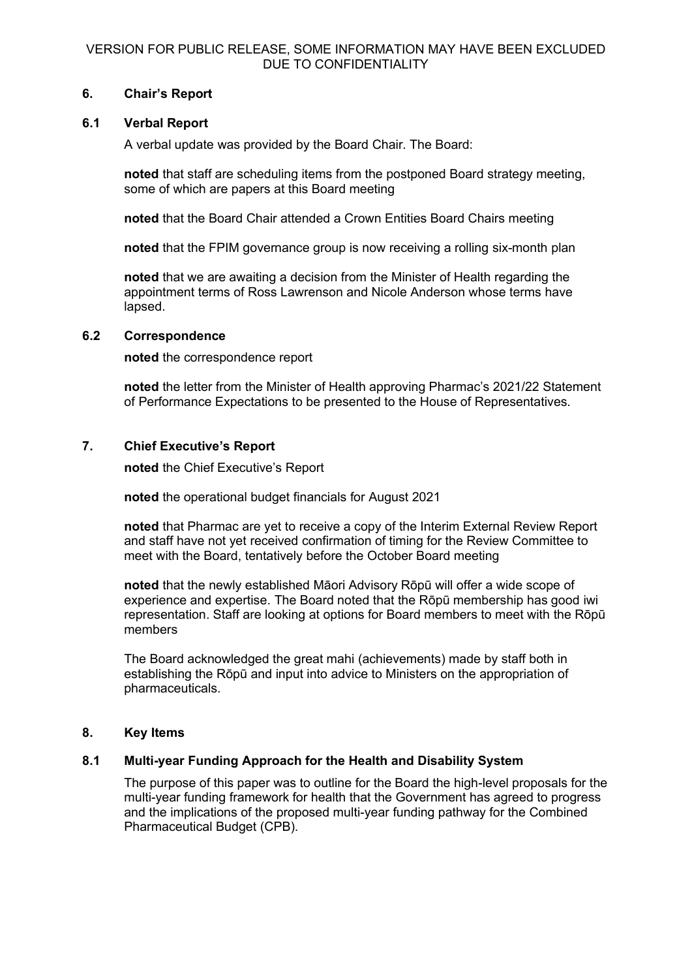## **6. Chair's Report**

## **6.1 Verbal Report**

A verbal update was provided by the Board Chair. The Board:

**noted** that staff are scheduling items from the postponed Board strategy meeting, some of which are papers at this Board meeting

**noted** that the Board Chair attended a Crown Entities Board Chairs meeting

**noted** that the FPIM governance group is now receiving a rolling six-month plan

**noted** that we are awaiting a decision from the Minister of Health regarding the appointment terms of Ross Lawrenson and Nicole Anderson whose terms have lapsed.

#### **6.2 Correspondence**

**noted** the correspondence report

**noted** the letter from the Minister of Health approving Pharmac's 2021/22 Statement of Performance Expectations to be presented to the House of Representatives.

## **7. Chief Executive's Report**

**noted** the Chief Executive's Report

**noted** the operational budget financials for August 2021

**noted** that Pharmac are yet to receive a copy of the Interim External Review Report and staff have not yet received confirmation of timing for the Review Committee to meet with the Board, tentatively before the October Board meeting

**noted** that the newly established Māori Advisory Rōpū will offer a wide scope of experience and expertise. The Board noted that the Rōpū membership has good iwi representation. Staff are looking at options for Board members to meet with the Rōpū members

The Board acknowledged the great mahi (achievements) made by staff both in establishing the Rōpū and input into advice to Ministers on the appropriation of pharmaceuticals.

#### **8. Key Items**

## **8.1 Multi-year Funding Approach for the Health and Disability System**

The purpose of this paper was to outline for the Board the high-level proposals for the multi-year funding framework for health that the Government has agreed to progress and the implications of the proposed multi-year funding pathway for the Combined Pharmaceutical Budget (CPB).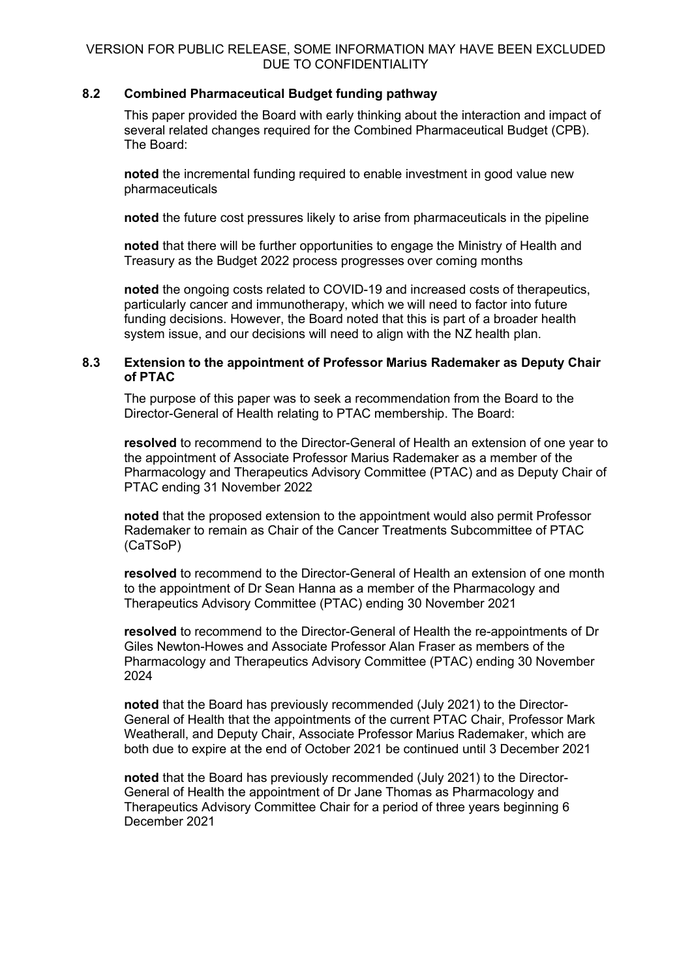## **8.2 Combined Pharmaceutical Budget funding pathway**

This paper provided the Board with early thinking about the interaction and impact of several related changes required for the Combined Pharmaceutical Budget (CPB). The Board:

**noted** the incremental funding required to enable investment in good value new pharmaceuticals

**noted** the future cost pressures likely to arise from pharmaceuticals in the pipeline

**noted** that there will be further opportunities to engage the Ministry of Health and Treasury as the Budget 2022 process progresses over coming months

**noted** the ongoing costs related to COVID-19 and increased costs of therapeutics, particularly cancer and immunotherapy, which we will need to factor into future funding decisions. However, the Board noted that this is part of a broader health system issue, and our decisions will need to align with the NZ health plan.

#### **8.3 Extension to the appointment of Professor Marius Rademaker as Deputy Chair of PTAC**

The purpose of this paper was to seek a recommendation from the Board to the Director-General of Health relating to PTAC membership. The Board:

**resolved** to recommend to the Director-General of Health an extension of one year to the appointment of Associate Professor Marius Rademaker as a member of the Pharmacology and Therapeutics Advisory Committee (PTAC) and as Deputy Chair of PTAC ending 31 November 2022

**noted** that the proposed extension to the appointment would also permit Professor Rademaker to remain as Chair of the Cancer Treatments Subcommittee of PTAC (CaTSoP)

**resolved** to recommend to the Director-General of Health an extension of one month to the appointment of Dr Sean Hanna as a member of the Pharmacology and Therapeutics Advisory Committee (PTAC) ending 30 November 2021

**resolved** to recommend to the Director-General of Health the re-appointments of Dr Giles Newton-Howes and Associate Professor Alan Fraser as members of the Pharmacology and Therapeutics Advisory Committee (PTAC) ending 30 November 2024

**noted** that the Board has previously recommended (July 2021) to the Director-General of Health that the appointments of the current PTAC Chair, Professor Mark Weatherall, and Deputy Chair, Associate Professor Marius Rademaker, which are both due to expire at the end of October 2021 be continued until 3 December 2021

**noted** that the Board has previously recommended (July 2021) to the Director-General of Health the appointment of Dr Jane Thomas as Pharmacology and Therapeutics Advisory Committee Chair for a period of three years beginning 6 December 2021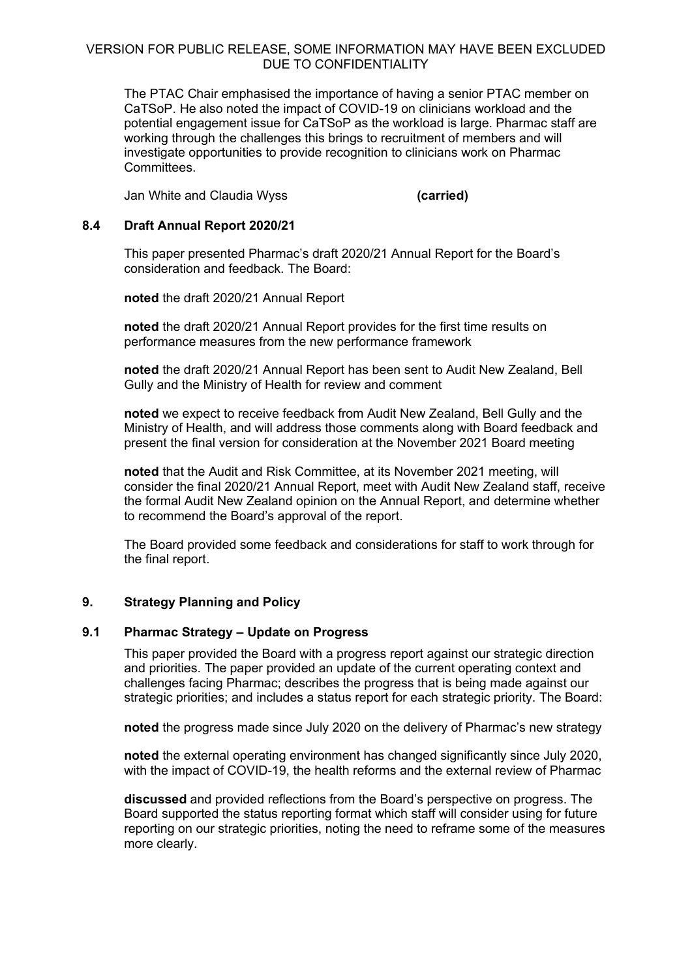The PTAC Chair emphasised the importance of having a senior PTAC member on CaTSoP. He also noted the impact of COVID-19 on clinicians workload and the potential engagement issue for CaTSoP as the workload is large. Pharmac staff are working through the challenges this brings to recruitment of members and will investigate opportunities to provide recognition to clinicians work on Pharmac Committees.

Jan White and Claudia Wyss **(carried)**

## **8.4 Draft Annual Report 2020/21**

This paper presented Pharmac's draft 2020/21 Annual Report for the Board's consideration and feedback. The Board:

**noted** the draft 2020/21 Annual Report

**noted** the draft 2020/21 Annual Report provides for the first time results on performance measures from the new performance framework

**noted** the draft 2020/21 Annual Report has been sent to Audit New Zealand, Bell Gully and the Ministry of Health for review and comment

**noted** we expect to receive feedback from Audit New Zealand, Bell Gully and the Ministry of Health, and will address those comments along with Board feedback and present the final version for consideration at the November 2021 Board meeting

**noted** that the Audit and Risk Committee, at its November 2021 meeting, will consider the final 2020/21 Annual Report, meet with Audit New Zealand staff, receive the formal Audit New Zealand opinion on the Annual Report, and determine whether to recommend the Board's approval of the report.

The Board provided some feedback and considerations for staff to work through for the final report.

## **9. Strategy Planning and Policy**

#### **9.1 Pharmac Strategy – Update on Progress**

This paper provided the Board with a progress report against our strategic direction and priorities. The paper provided an update of the current operating context and challenges facing Pharmac; describes the progress that is being made against our strategic priorities; and includes a status report for each strategic priority. The Board:

**noted** the progress made since July 2020 on the delivery of Pharmac's new strategy

**noted** the external operating environment has changed significantly since July 2020, with the impact of COVID-19, the health reforms and the external review of Pharmac

**discussed** and provided reflections from the Board's perspective on progress. The Board supported the status reporting format which staff will consider using for future reporting on our strategic priorities, noting the need to reframe some of the measures more clearly.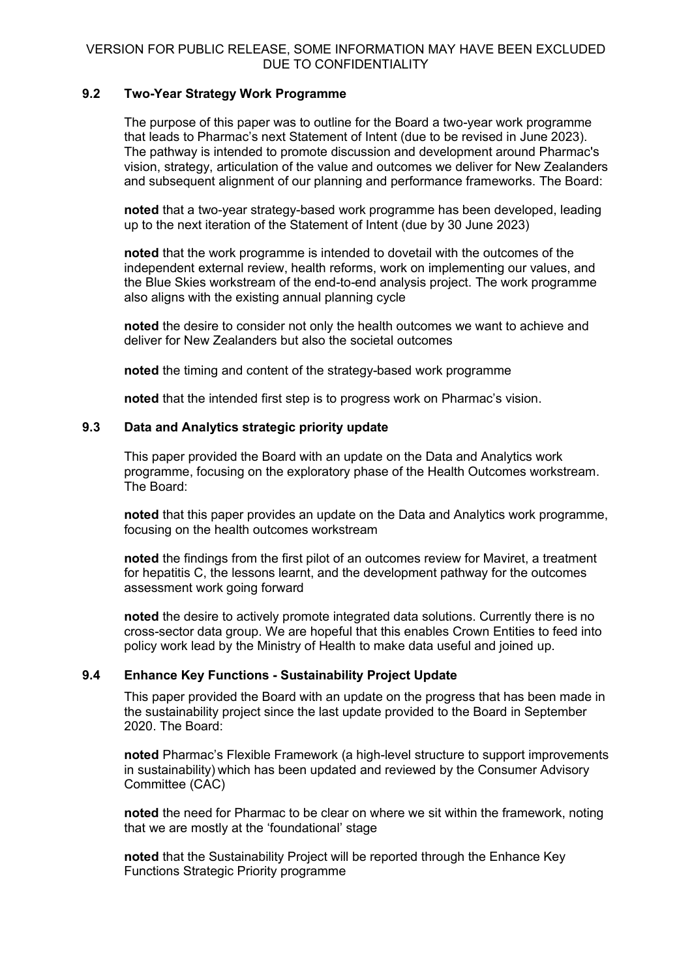## **9.2 Two-Year Strategy Work Programme**

The purpose of this paper was to outline for the Board a two-year work programme that leads to Pharmac's next Statement of Intent (due to be revised in June 2023). The pathway is intended to promote discussion and development around Pharmac's vision, strategy, articulation of the value and outcomes we deliver for New Zealanders and subsequent alignment of our planning and performance frameworks. The Board:

**noted** that a two-year strategy-based work programme has been developed, leading up to the next iteration of the Statement of Intent (due by 30 June 2023)

**noted** that the work programme is intended to dovetail with the outcomes of the independent external review, health reforms, work on implementing our values, and the Blue Skies workstream of the end-to-end analysis project. The work programme also aligns with the existing annual planning cycle

**noted** the desire to consider not only the health outcomes we want to achieve and deliver for New Zealanders but also the societal outcomes

**noted** the timing and content of the strategy-based work programme

**noted** that the intended first step is to progress work on Pharmac's vision.

#### **9.3 Data and Analytics strategic priority update**

This paper provided the Board with an update on the Data and Analytics work programme, focusing on the exploratory phase of the Health Outcomes workstream. The Board:

**noted** that this paper provides an update on the Data and Analytics work programme, focusing on the health outcomes workstream

**noted** the findings from the first pilot of an outcomes review for Maviret, a treatment for hepatitis C, the lessons learnt, and the development pathway for the outcomes assessment work going forward

**noted** the desire to actively promote integrated data solutions. Currently there is no cross-sector data group. We are hopeful that this enables Crown Entities to feed into policy work lead by the Ministry of Health to make data useful and joined up.

## **9.4 Enhance Key Functions - Sustainability Project Update**

This paper provided the Board with an update on the progress that has been made in the sustainability project since the last update provided to the Board in September 2020. The Board:

**noted** Pharmac's Flexible Framework (a high-level structure to support improvements in sustainability) which has been updated and reviewed by the Consumer Advisory Committee (CAC)

**noted** the need for Pharmac to be clear on where we sit within the framework, noting that we are mostly at the 'foundational' stage

**noted** that the Sustainability Project will be reported through the Enhance Key Functions Strategic Priority programme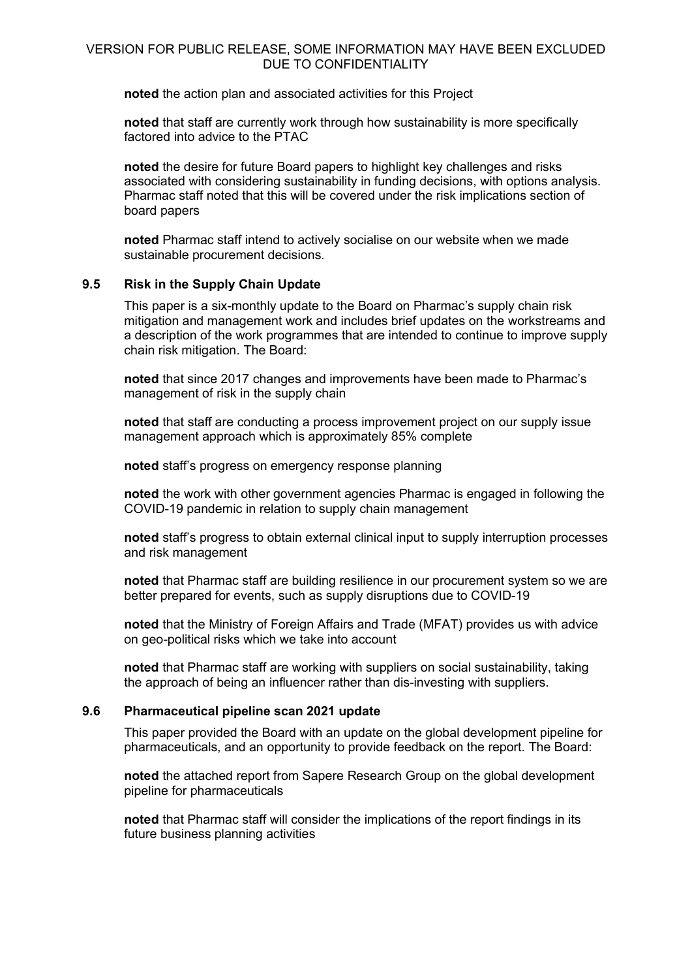**noted** the action plan and associated activities for this Project

**noted** that staff are currently work through how sustainability is more specifically factored into advice to the PTAC

**noted** the desire for future Board papers to highlight key challenges and risks associated with considering sustainability in funding decisions, with options analysis. Pharmac staff noted that this will be covered under the risk implications section of board papers

**noted** Pharmac staff intend to actively socialise on our website when we made sustainable procurement decisions.

#### **9.5 Risk in the Supply Chain Update**

This paper is a six-monthly update to the Board on Pharmac's supply chain risk mitigation and management work and includes brief updates on the workstreams and a description of the work programmes that are intended to continue to improve supply chain risk mitigation. The Board:

**noted** that since 2017 changes and improvements have been made to Pharmac's management of risk in the supply chain

**noted** that staff are conducting a process improvement project on our supply issue management approach which is approximately 85% complete

**noted** staff's progress on emergency response planning

**noted** the work with other government agencies Pharmac is engaged in following the COVID-19 pandemic in relation to supply chain management

**noted** staff's progress to obtain external clinical input to supply interruption processes and risk management

**noted** that Pharmac staff are building resilience in our procurement system so we are better prepared for events, such as supply disruptions due to COVID-19

**noted** that the Ministry of Foreign Affairs and Trade (MFAT) provides us with advice on geo-political risks which we take into account

**noted** that Pharmac staff are working with suppliers on social sustainability, taking the approach of being an influencer rather than dis-investing with suppliers.

#### **9.6 Pharmaceutical pipeline scan 2021 update**

This paper provided the Board with an update on the global development pipeline for pharmaceuticals, and an opportunity to provide feedback on the report. The Board:

**noted** the attached report from Sapere Research Group on the global development pipeline for pharmaceuticals

**noted** that Pharmac staff will consider the implications of the report findings in its future business planning activities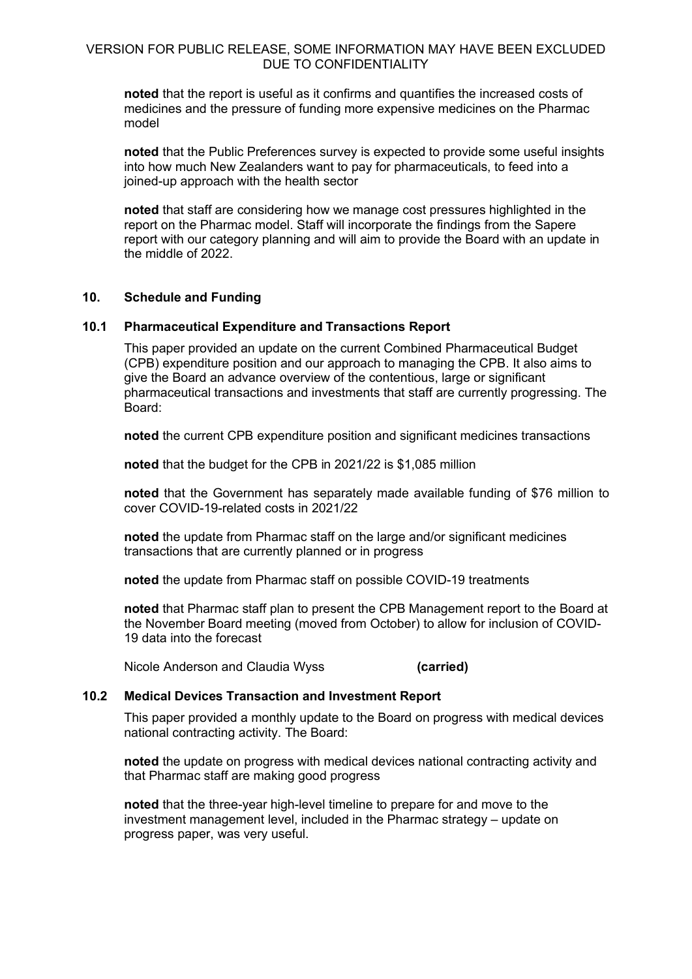**noted** that the report is useful as it confirms and quantifies the increased costs of medicines and the pressure of funding more expensive medicines on the Pharmac model

**noted** that the Public Preferences survey is expected to provide some useful insights into how much New Zealanders want to pay for pharmaceuticals, to feed into a joined-up approach with the health sector

**noted** that staff are considering how we manage cost pressures highlighted in the report on the Pharmac model. Staff will incorporate the findings from the Sapere report with our category planning and will aim to provide the Board with an update in the middle of 2022.

#### **10. Schedule and Funding**

#### **10.1 Pharmaceutical Expenditure and Transactions Report**

This paper provided an update on the current Combined Pharmaceutical Budget (CPB) expenditure position and our approach to managing the CPB. It also aims to give the Board an advance overview of the contentious, large or significant pharmaceutical transactions and investments that staff are currently progressing. The Board:

**noted** the current CPB expenditure position and significant medicines transactions

**noted** that the budget for the CPB in 2021/22 is \$1,085 million

**noted** that the Government has separately made available funding of \$76 million to cover COVID-19-related costs in 2021/22

**noted** the update from Pharmac staff on the large and/or significant medicines transactions that are currently planned or in progress

**noted** the update from Pharmac staff on possible COVID-19 treatments

**noted** that Pharmac staff plan to present the CPB Management report to the Board at the November Board meeting (moved from October) to allow for inclusion of COVID-19 data into the forecast

Nicole Anderson and Claudia Wyss **(carried)**

# **10.2 Medical Devices Transaction and Investment Report**

This paper provided a monthly update to the Board on progress with medical devices national contracting activity. The Board:

**noted** the update on progress with medical devices national contracting activity and that Pharmac staff are making good progress

**noted** that the three-year high-level timeline to prepare for and move to the investment management level, included in the Pharmac strategy – update on progress paper, was very useful.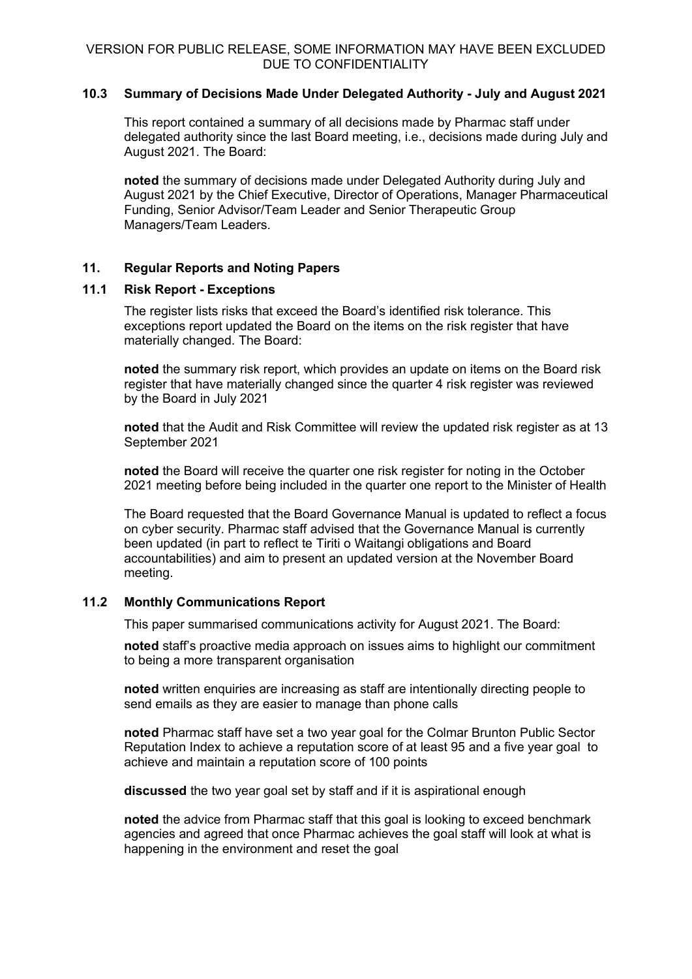## **10.3 Summary of Decisions Made Under Delegated Authority - July and August 2021**

This report contained a summary of all decisions made by Pharmac staff under delegated authority since the last Board meeting, i.e., decisions made during July and August 2021. The Board:

**noted** the summary of decisions made under Delegated Authority during July and August 2021 by the Chief Executive, Director of Operations, Manager Pharmaceutical Funding, Senior Advisor/Team Leader and Senior Therapeutic Group Managers/Team Leaders.

## **11. Regular Reports and Noting Papers**

## **11.1 Risk Report - Exceptions**

The register lists risks that exceed the Board's identified risk tolerance. This exceptions report updated the Board on the items on the risk register that have materially changed. The Board:

**noted** the summary risk report, which provides an update on items on the Board risk register that have materially changed since the quarter 4 risk register was reviewed by the Board in July 2021

**noted** that the Audit and Risk Committee will review the updated risk register as at 13 September 2021

**noted** the Board will receive the quarter one risk register for noting in the October 2021 meeting before being included in the quarter one report to the Minister of Health

The Board requested that the Board Governance Manual is updated to reflect a focus on cyber security. Pharmac staff advised that the Governance Manual is currently been updated (in part to reflect te Tiriti o Waitangi obligations and Board accountabilities) and aim to present an updated version at the November Board meeting.

## **11.2 Monthly Communications Report**

This paper summarised communications activity for August 2021. The Board:

**noted** staff's proactive media approach on issues aims to highlight our commitment to being a more transparent organisation

**noted** written enquiries are increasing as staff are intentionally directing people to send emails as they are easier to manage than phone calls

**noted** Pharmac staff have set a two year goal for the Colmar Brunton Public Sector Reputation Index to achieve a reputation score of at least 95 and a five year goal to achieve and maintain a reputation score of 100 points

**discussed** the two year goal set by staff and if it is aspirational enough

**noted** the advice from Pharmac staff that this goal is looking to exceed benchmark agencies and agreed that once Pharmac achieves the goal staff will look at what is happening in the environment and reset the goal